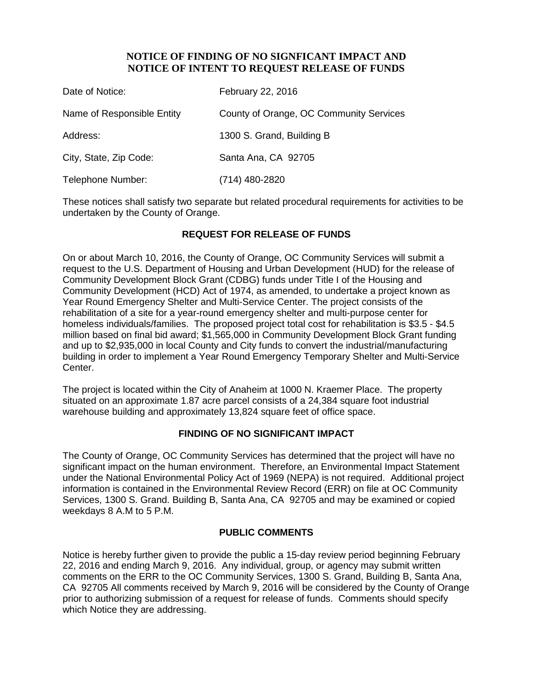## **NOTICE OF FINDING OF NO SIGNFICANT IMPACT AND NOTICE OF INTENT TO REQUEST RELEASE OF FUNDS**

| Date of Notice:            | February 22, 2016                       |
|----------------------------|-----------------------------------------|
| Name of Responsible Entity | County of Orange, OC Community Services |
| Address:                   | 1300 S. Grand, Building B               |
| City, State, Zip Code:     | Santa Ana, CA 92705                     |
| Telephone Number:          | (714) 480-2820                          |

These notices shall satisfy two separate but related procedural requirements for activities to be undertaken by the County of Orange.

# **REQUEST FOR RELEASE OF FUNDS**

On or about March 10, 2016, the County of Orange, OC Community Services will submit a request to the U.S. Department of Housing and Urban Development (HUD) for the release of Community Development Block Grant (CDBG) funds under Title I of the Housing and Community Development (HCD) Act of 1974, as amended, to undertake a project known as Year Round Emergency Shelter and Multi-Service Center. The project consists of the rehabilitation of a site for a year-round emergency shelter and multi-purpose center for homeless individuals/families. The proposed project total cost for rehabilitation is \$3.5 - \$4.5 million based on final bid award; \$1,565,000 in Community Development Block Grant funding and up to \$2,935,000 in local County and City funds to convert the industrial/manufacturing building in order to implement a Year Round Emergency Temporary Shelter and Multi-Service Center.

The project is located within the City of Anaheim at 1000 N. Kraemer Place. The property situated on an approximate 1.87 acre parcel consists of a 24,384 square foot industrial warehouse building and approximately 13,824 square feet of office space.

## **FINDING OF NO SIGNIFICANT IMPACT**

The County of Orange, OC Community Services has determined that the project will have no significant impact on the human environment. Therefore, an Environmental Impact Statement under the National Environmental Policy Act of 1969 (NEPA) is not required. Additional project information is contained in the Environmental Review Record (ERR) on file at OC Community Services, 1300 S. Grand. Building B, Santa Ana, CA 92705 and may be examined or copied weekdays 8 A.M to 5 P.M.

#### **PUBLIC COMMENTS**

Notice is hereby further given to provide the public a 15-day review period beginning February 22, 2016 and ending March 9, 2016. Any individual, group, or agency may submit written comments on the ERR to the OC Community Services, 1300 S. Grand, Building B, Santa Ana, CA 92705 All comments received by March 9, 2016 will be considered by the County of Orange prior to authorizing submission of a request for release of funds. Comments should specify which Notice they are addressing.